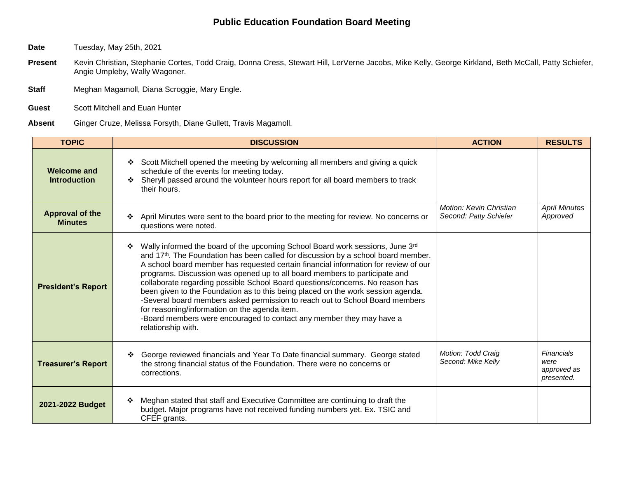## **Public Education Foundation Board Meeting**

**Date** Tuesday, May 25th, 2021

- Present Kevin Christian, Stephanie Cortes, Todd Craig, Donna Cress, Stewart Hill, LerVerne Jacobs, Mike Kelly, George Kirkland, Beth McCall, Patty Schiefer, Angie Umpleby, Wally Wagoner.
- **Staff** Meghan Magamoll, Diana Scroggie, Mary Engle.
- **Guest** Scott Mitchell and Euan Hunter
- **Absent** Ginger Cruze, Melissa Forsyth, Diane Gullett, Travis Magamoll.

| <b>TOPIC</b>                              | <b>DISCUSSION</b>                                                                                                                                                                                                                                                                                                                                                                                                                                                                                                                                                                                                                                                                                                                                             | <b>ACTION</b>                                            | <b>RESULTS</b>                                  |
|-------------------------------------------|---------------------------------------------------------------------------------------------------------------------------------------------------------------------------------------------------------------------------------------------------------------------------------------------------------------------------------------------------------------------------------------------------------------------------------------------------------------------------------------------------------------------------------------------------------------------------------------------------------------------------------------------------------------------------------------------------------------------------------------------------------------|----------------------------------------------------------|-------------------------------------------------|
| <b>Welcome and</b><br><b>Introduction</b> | Scott Mitchell opened the meeting by welcoming all members and giving a quick<br>schedule of the events for meeting today.<br>Sheryll passed around the volunteer hours report for all board members to track<br>❖<br>their hours.                                                                                                                                                                                                                                                                                                                                                                                                                                                                                                                            |                                                          |                                                 |
| <b>Approval of the</b><br><b>Minutes</b>  | April Minutes were sent to the board prior to the meeting for review. No concerns or<br>questions were noted.                                                                                                                                                                                                                                                                                                                                                                                                                                                                                                                                                                                                                                                 | <b>Motion: Kevin Christian</b><br>Second: Patty Schiefer | <b>April Minutes</b><br>Approved                |
| <b>President's Report</b>                 | Wally informed the board of the upcoming School Board work sessions, June 3rd<br>❖<br>and 17 <sup>th</sup> . The Foundation has been called for discussion by a school board member.<br>A school board member has requested certain financial information for review of our<br>programs. Discussion was opened up to all board members to participate and<br>collaborate regarding possible School Board questions/concerns. No reason has<br>been given to the Foundation as to this being placed on the work session agenda.<br>-Several board members asked permission to reach out to School Board members<br>for reasoning/information on the agenda item.<br>-Board members were encouraged to contact any member they may have a<br>relationship with. |                                                          |                                                 |
| <b>Treasurer's Report</b>                 | George reviewed financials and Year To Date financial summary. George stated<br>the strong financial status of the Foundation. There were no concerns or<br>corrections.                                                                                                                                                                                                                                                                                                                                                                                                                                                                                                                                                                                      | Motion: Todd Craig<br>Second: Mike Kelly                 | Financials<br>were<br>approved as<br>presented. |
| 2021-2022 Budget                          | Meghan stated that staff and Executive Committee are continuing to draft the<br>❖<br>budget. Major programs have not received funding numbers yet. Ex. TSIC and<br>CFEF grants.                                                                                                                                                                                                                                                                                                                                                                                                                                                                                                                                                                               |                                                          |                                                 |